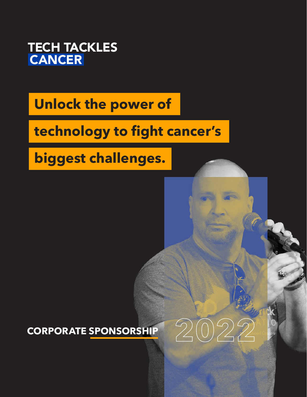

## **Unlock the power of**

# **technology to fight cancer's**

**biggest challenges.** 

**CORPORATE SPONSORSHIP**

**2022**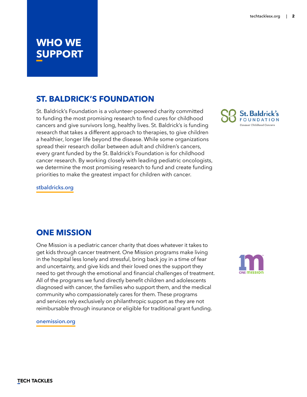### **WHO WE SUPPORT**

### **ST. BALDRICK'S FOUNDATION**

St. Baldrick's Foundation is a volunteer-powered charity committed to funding the most promising research to find cures for childhood cancers and give survivors long, healthy lives. St. Baldrick's is funding research that takes a different approach to therapies, to give children a healthier, longer life beyond the disease. While some organizations spread their research dollar between adult and children's cancers, every grant funded by the St. Baldrick's Foundation is for childhood cancer research. By working closely with leading pediatric oncologists, we determine the most promising research to fund and create funding priorities to make the greatest impact for children with cancer.



stbaldricks.org

### **ONE MISSION**

One Mission is a pediatric cancer charity that does whatever it takes to get kids through cancer treatment. One Mission programs make living in the hospital less lonely and stressful, bring back joy in a time of fear and uncertainty, and give kids and their loved ones the support they need to get through the emotional and financial challenges of treatment. All of the programs we fund directly benefit children and adolescents diagnosed with cancer, the families who support them, and the medical community who compassionately cares for them. These programs and services rely exclusively on philanthropic support as they are not reimbursable through insurance or eligible for traditional grant funding.



onemission.org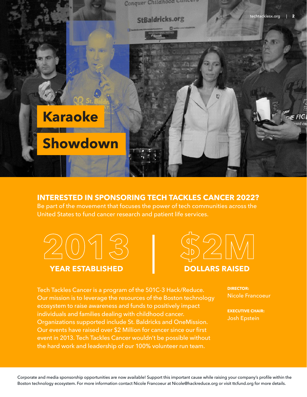

#### **INTERESTED IN SPONSORING TECH TACKLES CANCER 2022?**

Be part of the movement that focuses the power of tech communities across the United States to fund cancer research and patient life services.





Tech Tackles Cancer is a program of the 501C-3 Hack/Reduce. Our mission is to leverage the resources of the Boston technology ecosystem to raise awareness and funds to positively impact individuals and families dealing with childhood cancer. Organizations supported include St. Baldricks and OneMission. Our events have raised over \$2 Million for cancer since our first event in 2013. Tech Tackles Cancer wouldn't be possible without the hard work and leadership of our 100% volunteer run team.

**DIRECTOR:** Nicole Francoeur

**EXECUTIVE CHAIR:** Josh Epstein

Corporate and media sponsorship opportunities are now available! Support this important cause while raising your company's profile within the Boston technology ecosystem. For more information contact Nicole Francoeur at Nicole@hackreduce.org or visit ttcfund.org for more details.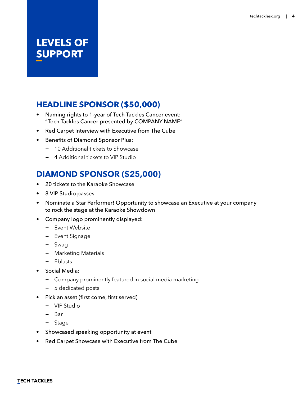### **LEVELS OF SUPPORT**

### **HEADLINE SPONSOR (\$50,000)**

- Naming rights to 1-year of Tech Tackles Cancer event: "Tech Tackles Cancer presented by COMPANY NAME"
- Red Carpet Interview with Executive from The Cube
- Benefits of Diamond Sponsor Plus:
	- **−** 10 Additional tickets to Showcase
	- **−** 4 Additional tickets to VIP Studio

### **DIAMOND SPONSOR (\$25,000)**

- 20 tickets to the Karaoke Showcase
- 8 VIP Studio passes
- Nominate a Star Performer! Opportunity to showcase an Executive at your company to rock the stage at the Karaoke Showdown
- Company logo prominently displayed:
	- **−** Event Website
	- **−** Event Signage
	- **−** Swag
	- **−** Marketing Materials
	- **−** Eblasts
- Social Media:
	- **−** Company prominently featured in social media marketing
	- **−** 5 dedicated posts
- Pick an asset (first come, first served)
	- **−** VIP Studio
	- **−** Bar
	- **−** Stage
- Showcased speaking opportunity at event
- Red Carpet Showcase with Executive from The Cube